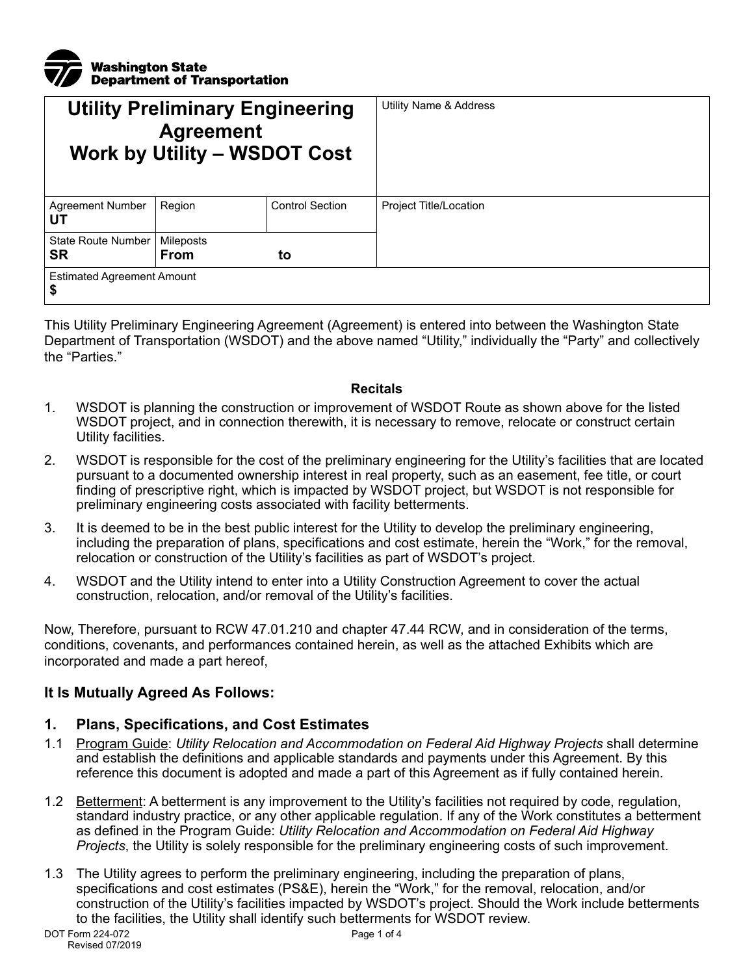

| <b>Utility Preliminary Engineering</b><br><b>Agreement</b><br><b>Work by Utility - WSDOT Cost</b> |                   |                        | Utility Name & Address |  |
|---------------------------------------------------------------------------------------------------|-------------------|------------------------|------------------------|--|
| <b>Agreement Number</b><br>UТ                                                                     | Region            | <b>Control Section</b> | Project Title/Location |  |
| State Route Number<br><b>SR</b>                                                                   | Mileposts<br>From | to                     |                        |  |
| <b>Estimated Agreement Amount</b><br>\$                                                           |                   |                        |                        |  |

This Utility Preliminary Engineering Agreement (Agreement) is entered into between the Washington State Department of Transportation (WSDOT) and the above named "Utility," individually the "Party" and collectively the "Parties."

#### **Recitals**

- 1. WSDOT is planning the construction or improvement of WSDOT Route as shown above for the listed WSDOT project, and in connection therewith, it is necessary to remove, relocate or construct certain Utility facilities.
- 2. WSDOT is responsible for the cost of the preliminary engineering for the Utility's facilities that are located pursuant to a documented ownership interest in real property, such as an easement, fee title, or court finding of prescriptive right, which is impacted by WSDOT project, but WSDOT is not responsible for preliminary engineering costs associated with facility betterments.
- 3. It is deemed to be in the best public interest for the Utility to develop the preliminary engineering, including the preparation of plans, specifications and cost estimate, herein the "Work," for the removal, relocation or construction of the Utility's facilities as part of WSDOT's project.
- 4. WSDOT and the Utility intend to enter into a Utility Construction Agreement to cover the actual construction, relocation, and/or removal of the Utility's facilities.

Now, Therefore, pursuant to RCW 47.01.210 and chapter 47.44 RCW, and in consideration of the terms, conditions, covenants, and performances contained herein, as well as the attached Exhibits which are incorporated and made a part hereof,

#### **It Is Mutually Agreed As Follows:**

#### **1. Plans, Specifications, and Cost Estimates**

- 1.1 Program Guide: *Utility Relocation and Accommodation on Federal Aid Highway Projects* shall determine and establish the definitions and applicable standards and payments under this Agreement. By this reference this document is adopted and made a part of this Agreement as if fully contained herein.
- 1.2 Betterment: A betterment is any improvement to the Utility's facilities not required by code, regulation, standard industry practice, or any other applicable regulation. If any of the Work constitutes a betterment as defined in the Program Guide: *Utility Relocation and Accommodation on Federal Aid Highway Projects*, the Utility is solely responsible for the preliminary engineering costs of such improvement.
- 1.3 The Utility agrees to perform the preliminary engineering, including the preparation of plans, specifications and cost estimates (PS&E), herein the "Work," for the removal, relocation, and/or construction of the Utility's facilities impacted by WSDOT's project. Should the Work include betterments to the facilities, the Utility shall identify such betterments for WSDOT review.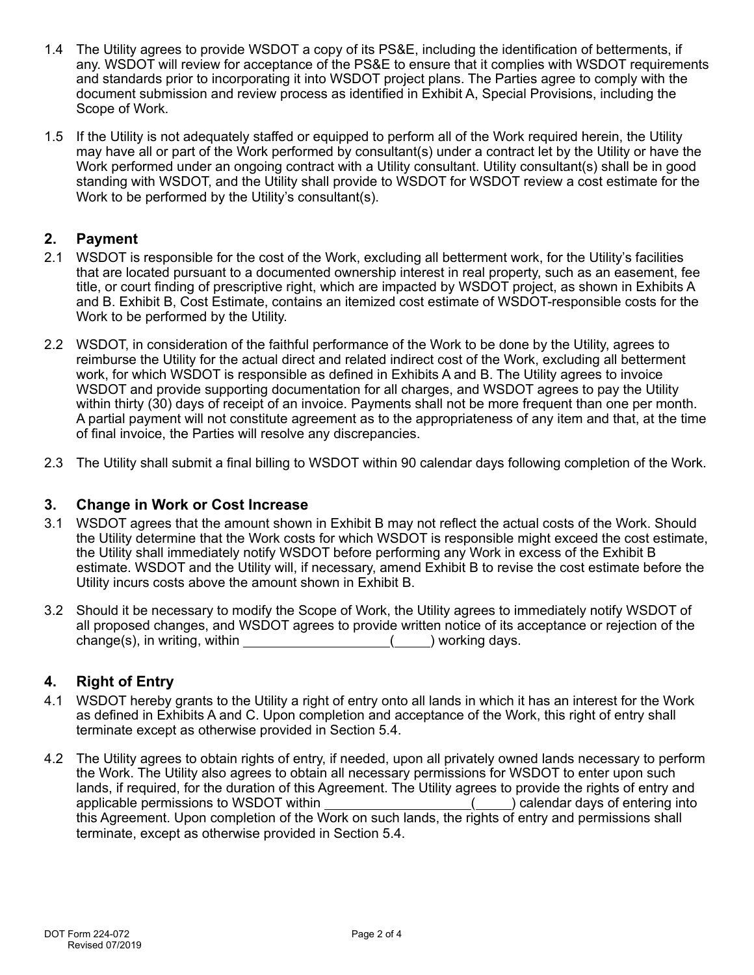- 1.4 The Utility agrees to provide WSDOT a copy of its PS&E, including the identification of betterments, if any. WSDOT will review for acceptance of the PS&E to ensure that it complies with WSDOT requirements and standards prior to incorporating it into WSDOT project plans. The Parties agree to comply with the document submission and review process as identified in Exhibit A, Special Provisions, including the Scope of Work.
- 1.5 If the Utility is not adequately staffed or equipped to perform all of the Work required herein, the Utility may have all or part of the Work performed by consultant(s) under a contract let by the Utility or have the Work performed under an ongoing contract with a Utility consultant. Utility consultant(s) shall be in good standing with WSDOT, and the Utility shall provide to WSDOT for WSDOT review a cost estimate for the Work to be performed by the Utility's consultant(s).

## **2. Payment**

- 2.1 WSDOT is responsible for the cost of the Work, excluding all betterment work, for the Utility's facilities that are located pursuant to a documented ownership interest in real property, such as an easement, fee title, or court finding of prescriptive right, which are impacted by WSDOT project, as shown in Exhibits A and B. Exhibit B, Cost Estimate, contains an itemized cost estimate of WSDOT-responsible costs for the Work to be performed by the Utility.
- 2.2 WSDOT, in consideration of the faithful performance of the Work to be done by the Utility, agrees to reimburse the Utility for the actual direct and related indirect cost of the Work, excluding all betterment work, for which WSDOT is responsible as defined in Exhibits A and B. The Utility agrees to invoice WSDOT and provide supporting documentation for all charges, and WSDOT agrees to pay the Utility within thirty (30) days of receipt of an invoice. Payments shall not be more frequent than one per month. A partial payment will not constitute agreement as to the appropriateness of any item and that, at the time of final invoice, the Parties will resolve any discrepancies.
- 2.3 The Utility shall submit a final billing to WSDOT within 90 calendar days following completion of the Work.

## **3. Change in Work or Cost Increase**

- 3.1 WSDOT agrees that the amount shown in Exhibit B may not reflect the actual costs of the Work. Should the Utility determine that the Work costs for which WSDOT is responsible might exceed the cost estimate, the Utility shall immediately notify WSDOT before performing any Work in excess of the Exhibit B estimate. WSDOT and the Utility will, if necessary, amend Exhibit B to revise the cost estimate before the Utility incurs costs above the amount shown in Exhibit B.
- 3.2 Should it be necessary to modify the Scope of Work, the Utility agrees to immediately notify WSDOT of all proposed changes, and WSDOT agrees to provide written notice of its acceptance or rejection of the change(s), in writing, within ( ) working days.

## **4. Right of Entry**

- 4.1 WSDOT hereby grants to the Utility a right of entry onto all lands in which it has an interest for the Work as defined in Exhibits A and C. Upon completion and acceptance of the Work, this right of entry shall terminate except as otherwise provided in Section 5.4.
- 4.2 The Utility agrees to obtain rights of entry, if needed, upon all privately owned lands necessary to perform the Work. The Utility also agrees to obtain all necessary permissions for WSDOT to enter upon such lands, if required, for the duration of this Agreement. The Utility agrees to provide the rights of entry and applicable permissions to WSDOT within applicable permissions to WSDOT within \_\_\_\_\_\_\_\_\_\_\_\_\_\_\_\_\_\_\_\_\_\_(\_\_\_\_) calendar days of entering into this Agreement. Upon completion of the Work on such lands, the rights of entry and permissions shall terminate, except as otherwise provided in Section 5.4.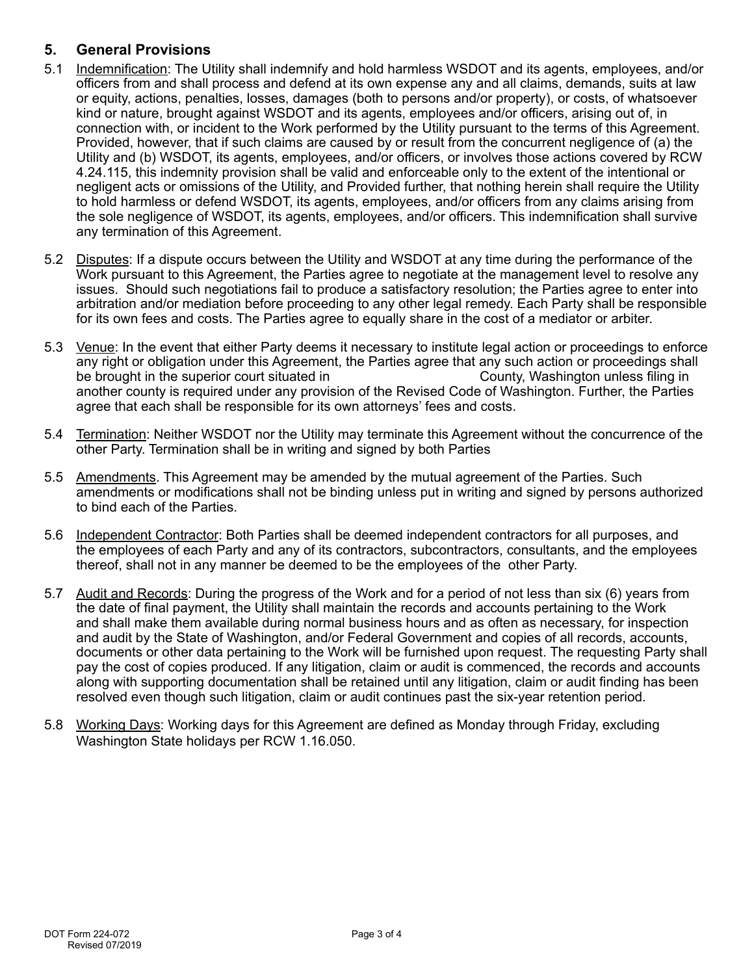# **5. General Provisions**

- 5.1 Indemnification: The Utility shall indemnify and hold harmless WSDOT and its agents, employees, and/or officers from and shall process and defend at its own expense any and all claims, demands, suits at law or equity, actions, penalties, losses, damages (both to persons and/or property), or costs, of whatsoever kind or nature, brought against WSDOT and its agents, employees and/or officers, arising out of, in connection with, or incident to the Work performed by the Utility pursuant to the terms of this Agreement. Provided, however, that if such claims are caused by or result from the concurrent negligence of (a) the Utility and (b) WSDOT, its agents, employees, and/or officers, or involves those actions covered by RCW 4.24.115, this indemnity provision shall be valid and enforceable only to the extent of the intentional or negligent acts or omissions of the Utility, and Provided further, that nothing herein shall require the Utility to hold harmless or defend WSDOT, its agents, employees, and/or officers from any claims arising from the sole negligence of WSDOT, its agents, employees, and/or officers. This indemnification shall survive any termination of this Agreement.
- 5.2 Disputes: If a dispute occurs between the Utility and WSDOT at any time during the performance of the Work pursuant to this Agreement, the Parties agree to negotiate at the management level to resolve any issues. Should such negotiations fail to produce a satisfactory resolution; the Parties agree to enter into arbitration and/or mediation before proceeding to any other legal remedy. Each Party shall be responsible for its own fees and costs. The Parties agree to equally share in the cost of a mediator or arbiter.
- 5.3 Venue: In the event that either Party deems it necessary to institute legal action or proceedings to enforce any right or obligation under this Agreement, the Parties agree that any such action or proceedings shall<br>be brought in the superior court situated in be brought in the superior court situated in another county is required under any provision of the Revised Code of Washington. Further, the Parties agree that each shall be responsible for its own attorneys' fees and costs.
- 5.4 Termination: Neither WSDOT nor the Utility may terminate this Agreement without the concurrence of the other Party. Termination shall be in writing and signed by both Parties
- 5.5 Amendments. This Agreement may be amended by the mutual agreement of the Parties. Such amendments or modifications shall not be binding unless put in writing and signed by persons authorized to bind each of the Parties.
- 5.6 Independent Contractor: Both Parties shall be deemed independent contractors for all purposes, and the employees of each Party and any of its contractors, subcontractors, consultants, and the employees thereof, shall not in any manner be deemed to be the employees of the other Party.
- 5.7 Audit and Records: During the progress of the Work and for a period of not less than six (6) years from the date of final payment, the Utility shall maintain the records and accounts pertaining to the Work and shall make them available during normal business hours and as often as necessary, for inspection and audit by the State of Washington, and/or Federal Government and copies of all records, accounts, documents or other data pertaining to the Work will be furnished upon request. The requesting Party shall pay the cost of copies produced. If any litigation, claim or audit is commenced, the records and accounts along with supporting documentation shall be retained until any litigation, claim or audit finding has been resolved even though such litigation, claim or audit continues past the six-year retention period.
- 5.8 Working Days: Working days for this Agreement are defined as Monday through Friday, excluding Washington State holidays per RCW 1.16.050.